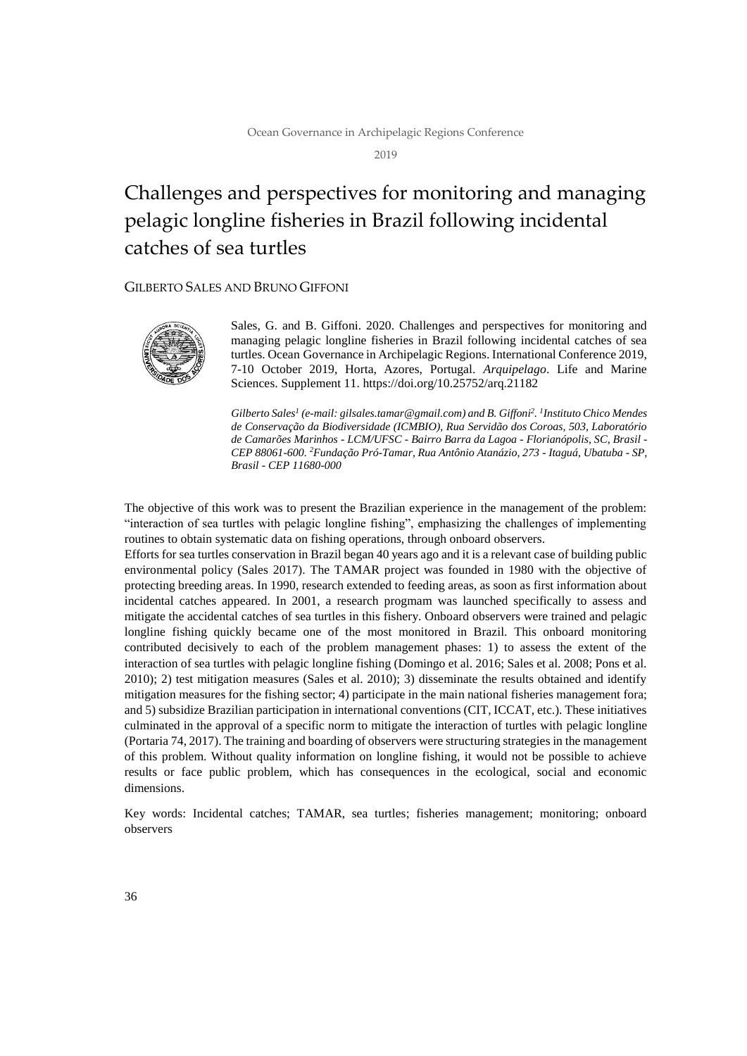2019

# Challenges and perspectives for monitoring and managing pelagic longline fisheries in Brazil following incidental catches of sea turtles

### GILBERTO SALES AND BRUNO GIFFONI



Sales, G. and B. Giffoni. 2020. Challenges and perspectives for monitoring and managing pelagic longline fisheries in Brazil following incidental catches of sea turtles. Ocean Governance in Archipelagic Regions. International Conference 2019, 7-10 October 2019, Horta, Azores, Portugal. *Arquipelago*. Life and Marine Sciences. Supplement 11. https://doi.org/10.25752/arq.21182

*Gilberto Sales<sup>1</sup> (e-mail: gilsales.tamar@gmail.com) and B. Giffoni<sup>2</sup> . 1 Instituto Chico Mendes de Conservação da Biodiversidade (ICMBIO), Rua Servidão dos Coroas, 503, Laboratório de Camarões Marinhos - LCM/UFSC - Bairro Barra da Lagoa - Florianópolis, SC, Brasil - CEP 88061-600. <sup>2</sup>Fundação Pró-Tamar, Rua Antônio Atanázio, 273 - Itaguá, Ubatuba - SP, Brasil - CEP 11680-000*

The objective of this work was to present the Brazilian experience in the management of the problem: "interaction of sea turtles with pelagic longline fishing", emphasizing the challenges of implementing routines to obtain systematic data on fishing operations, through onboard observers.

Efforts for sea turtles conservation in Brazil began 40 years ago and it is a relevant case of building public environmental policy (Sales 2017). The TAMAR project was founded in 1980 with the objective of protecting breeding areas. In 1990, research extended to feeding areas, as soon as first information about incidental catches appeared. In 2001, a research progmam was launched specifically to assess and mitigate the accidental catches of sea turtles in this fishery. Onboard observers were trained and pelagic longline fishing quickly became one of the most monitored in Brazil. This onboard monitoring contributed decisively to each of the problem management phases: 1) to assess the extent of the interaction of sea turtles with pelagic longline fishing (Domingo et al. 2016; Sales et al. 2008; Pons et al. 2010); 2) test mitigation measures (Sales et al. 2010); 3) disseminate the results obtained and identify mitigation measures for the fishing sector; 4) participate in the main national fisheries management fora; and 5) subsidize Brazilian participation in international conventions (CIT, ICCAT, etc.). These initiatives culminated in the approval of a specific norm to mitigate the interaction of turtles with pelagic longline (Portaria 74, 2017). The training and boarding of observers were structuring strategies in the management of this problem. Without quality information on longline fishing, it would not be possible to achieve results or face public problem, which has consequences in the ecological, social and economic dimensions.

Key words: Incidental catches; TAMAR, sea turtles; fisheries management; monitoring; onboard observers